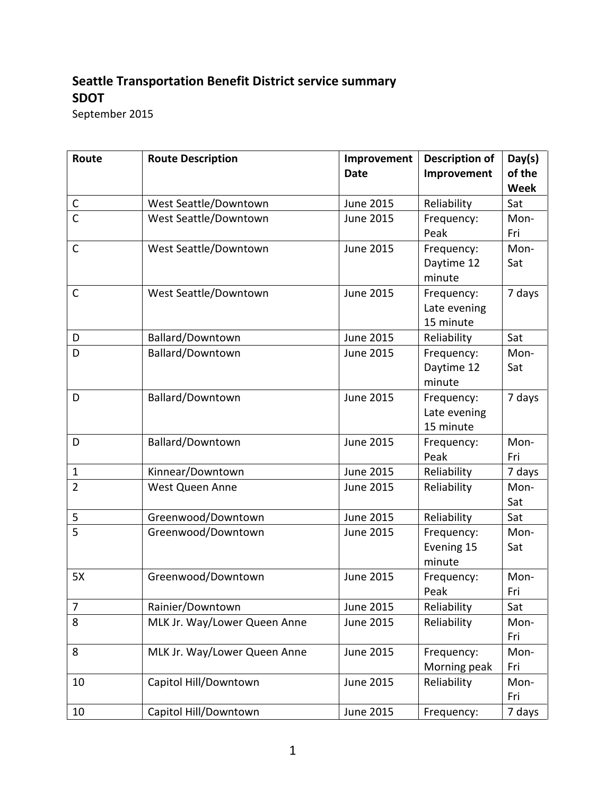## Seattle Transportation Benefit District service summary SDOT

September 2015

| Route                              | <b>Route Description</b>     | Improvement      | <b>Description of</b> | Day(s)      |
|------------------------------------|------------------------------|------------------|-----------------------|-------------|
|                                    |                              | <b>Date</b>      | Improvement           | of the      |
|                                    |                              |                  |                       | <b>Week</b> |
| $\mathsf C$                        | West Seattle/Downtown        | June 2015        | Reliability           | Sat         |
| $\overline{\overline{\mathsf{C}}}$ | West Seattle/Downtown        | <b>June 2015</b> | Frequency:            | Mon-        |
|                                    |                              |                  | Peak                  | Fri         |
| $\mathsf{C}$                       | West Seattle/Downtown        | June 2015        | Frequency:            | Mon-        |
|                                    |                              |                  | Daytime 12            | Sat         |
|                                    |                              |                  | minute                |             |
| $\mathsf{C}$                       | West Seattle/Downtown        | <b>June 2015</b> | Frequency:            | 7 days      |
|                                    |                              |                  | Late evening          |             |
|                                    |                              |                  | 15 minute             |             |
| D                                  | Ballard/Downtown             | June 2015        | Reliability           | Sat         |
| D                                  | Ballard/Downtown             | <b>June 2015</b> | Frequency:            | Mon-        |
|                                    |                              |                  | Daytime 12            | Sat         |
|                                    |                              |                  | minute                |             |
| D                                  | Ballard/Downtown             | June 2015        | Frequency:            | 7 days      |
|                                    |                              |                  | Late evening          |             |
|                                    |                              |                  | 15 minute             |             |
| D                                  | Ballard/Downtown             | <b>June 2015</b> | Frequency:            | Mon-        |
|                                    |                              |                  | Peak                  | Fri         |
| $\mathbf{1}$                       | Kinnear/Downtown             | <b>June 2015</b> | Reliability           | 7 days      |
| $\overline{2}$                     | West Queen Anne              | June 2015        | Reliability           | Mon-        |
| 5                                  | Greenwood/Downtown           | June 2015        | Reliability           | Sat<br>Sat  |
| 5                                  | Greenwood/Downtown           | June 2015        | Frequency:            | Mon-        |
|                                    |                              |                  | Evening 15            | Sat         |
|                                    |                              |                  | minute                |             |
| 5X                                 | Greenwood/Downtown           | <b>June 2015</b> | Frequency:            | Mon-        |
|                                    |                              |                  | Peak                  | Fri         |
| 7                                  | Rainier/Downtown             | <b>June 2015</b> | Reliability           | Sat         |
| 8                                  | MLK Jr. Way/Lower Queen Anne | June 2015        | Reliability           | Mon-        |
|                                    |                              |                  |                       | Fri         |
| 8                                  | MLK Jr. Way/Lower Queen Anne | June 2015        | Frequency:            | Mon-        |
|                                    |                              |                  | Morning peak          | Fri         |
| 10                                 | Capitol Hill/Downtown        | <b>June 2015</b> | Reliability           | Mon-        |
|                                    |                              |                  |                       | Fri         |
| 10                                 | Capitol Hill/Downtown        | June 2015        | Frequency:            | 7 days      |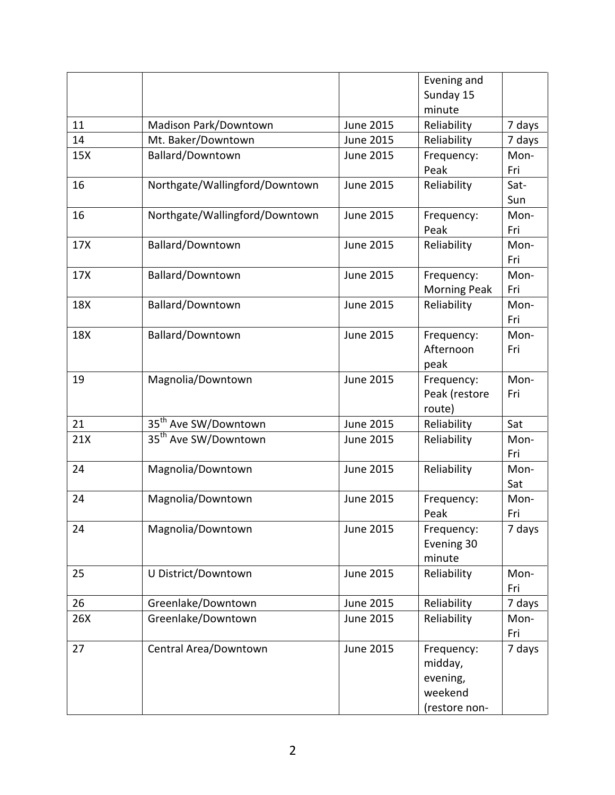|     |                                  |                  | Evening and                                                   |             |
|-----|----------------------------------|------------------|---------------------------------------------------------------|-------------|
|     |                                  |                  | Sunday 15                                                     |             |
|     |                                  |                  | minute                                                        |             |
| 11  | Madison Park/Downtown            | <b>June 2015</b> | Reliability                                                   | 7 days      |
| 14  | Mt. Baker/Downtown               | June 2015        | Reliability                                                   | 7 days      |
| 15X | Ballard/Downtown                 | <b>June 2015</b> | Frequency:<br>Peak                                            | Mon-<br>Fri |
| 16  | Northgate/Wallingford/Downtown   | <b>June 2015</b> | Reliability                                                   | Sat-<br>Sun |
| 16  | Northgate/Wallingford/Downtown   | <b>June 2015</b> | Frequency:<br>Peak                                            | Mon-<br>Fri |
| 17X | Ballard/Downtown                 | <b>June 2015</b> | Reliability                                                   | Mon-<br>Fri |
| 17X | Ballard/Downtown                 | <b>June 2015</b> | Frequency:<br><b>Morning Peak</b>                             | Mon-<br>Fri |
| 18X | Ballard/Downtown                 | <b>June 2015</b> | Reliability                                                   | Mon-<br>Fri |
| 18X | <b>Ballard/Downtown</b>          | <b>June 2015</b> | Frequency:<br>Afternoon<br>peak                               | Mon-<br>Fri |
| 19  | Magnolia/Downtown                | <b>June 2015</b> | Frequency:<br>Peak (restore<br>route)                         | Mon-<br>Fri |
| 21  | 35 <sup>th</sup> Ave SW/Downtown | <b>June 2015</b> | Reliability                                                   | Sat         |
| 21X | 35 <sup>th</sup> Ave SW/Downtown | <b>June 2015</b> | Reliability                                                   | Mon-<br>Fri |
| 24  | Magnolia/Downtown                | June 2015        | Reliability                                                   | Mon-<br>Sat |
| 24  | Magnolia/Downtown                | <b>June 2015</b> | Frequency:<br>Peak                                            | Mon-<br>Fri |
| 24  | Magnolia/Downtown                | June 2015        | Frequency:<br>Evening 30<br>minute                            | 7 days      |
| 25  | U District/Downtown              | <b>June 2015</b> | Reliability                                                   | Mon-<br>Fri |
| 26  | Greenlake/Downtown               | June 2015        | Reliability                                                   | 7 days      |
| 26X | Greenlake/Downtown               | June 2015        | Reliability                                                   | Mon-<br>Fri |
| 27  | Central Area/Downtown            | <b>June 2015</b> | Frequency:<br>midday,<br>evening,<br>weekend<br>(restore non- | 7 days      |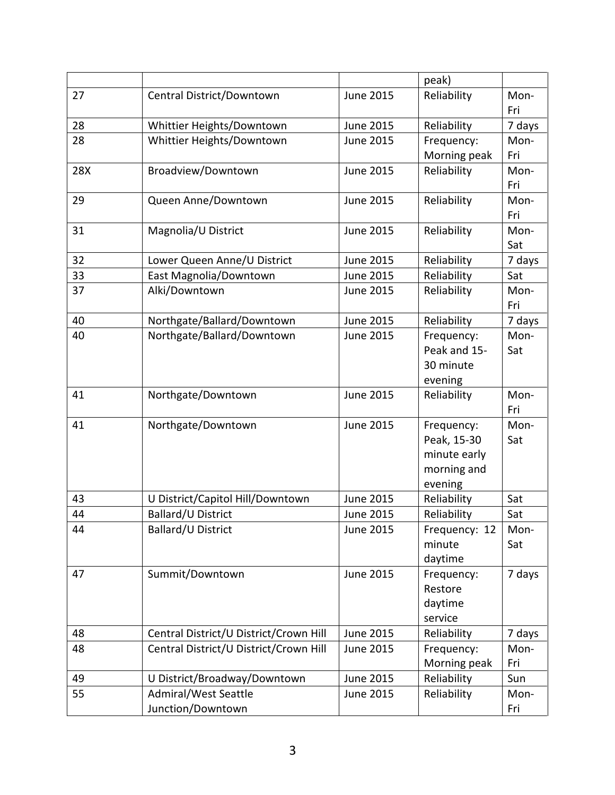|     |                                        |                  | peak)                     |        |
|-----|----------------------------------------|------------------|---------------------------|--------|
| 27  | Central District/Downtown              | <b>June 2015</b> | Reliability               | Mon-   |
|     |                                        |                  |                           | Fri    |
| 28  | Whittier Heights/Downtown              | June 2015        | Reliability               | 7 days |
| 28  | Whittier Heights/Downtown              | <b>June 2015</b> | Frequency:                | Mon-   |
|     |                                        |                  | Morning peak              | Fri    |
| 28X | Broadview/Downtown                     | June 2015        | Reliability               | Mon-   |
|     |                                        |                  |                           | Fri    |
| 29  | Queen Anne/Downtown                    | <b>June 2015</b> | Reliability               | Mon-   |
|     |                                        |                  |                           | Fri    |
| 31  | Magnolia/U District                    | June 2015        | Reliability               | Mon-   |
|     |                                        |                  |                           | Sat    |
| 32  | Lower Queen Anne/U District            | June 2015        | Reliability               | 7 days |
| 33  | East Magnolia/Downtown                 | <b>June 2015</b> | Reliability               | Sat    |
| 37  | Alki/Downtown                          | June 2015        | Reliability               | Mon-   |
|     |                                        |                  |                           | Fri    |
| 40  | Northgate/Ballard/Downtown             | June 2015        | Reliability               | 7 days |
| 40  | Northgate/Ballard/Downtown             | <b>June 2015</b> | Frequency:                | Mon-   |
|     |                                        |                  | Peak and 15-<br>30 minute | Sat    |
|     |                                        |                  |                           |        |
| 41  | Northgate/Downtown                     | <b>June 2015</b> | evening<br>Reliability    | Mon-   |
|     |                                        |                  |                           | Fri    |
| 41  | Northgate/Downtown                     | <b>June 2015</b> | Frequency:                | Mon-   |
|     |                                        |                  | Peak, 15-30               | Sat    |
|     |                                        |                  | minute early              |        |
|     |                                        |                  | morning and               |        |
|     |                                        |                  | evening                   |        |
| 43  | U District/Capitol Hill/Downtown       | June 2015        | Reliability               | Sat    |
| 44  | Ballard/U District                     | June 2015        | Reliability               | Sat    |
| 44  | Ballard/U District                     | June 2015        | Frequency: 12             | Mon-   |
|     |                                        |                  | minute                    | Sat    |
|     |                                        |                  | daytime                   |        |
| 47  | Summit/Downtown                        | June 2015        | Frequency:                | 7 days |
|     |                                        |                  | Restore                   |        |
|     |                                        |                  | daytime                   |        |
|     |                                        |                  | service                   |        |
| 48  | Central District/U District/Crown Hill | June 2015        | Reliability               | 7 days |
| 48  | Central District/U District/Crown Hill | <b>June 2015</b> | Frequency:                | Mon-   |
|     |                                        |                  | Morning peak              | Fri    |
| 49  | U District/Broadway/Downtown           | June 2015        | Reliability               | Sun    |
| 55  | Admiral/West Seattle                   | <b>June 2015</b> | Reliability               | Mon-   |
|     | Junction/Downtown                      |                  |                           | Fri    |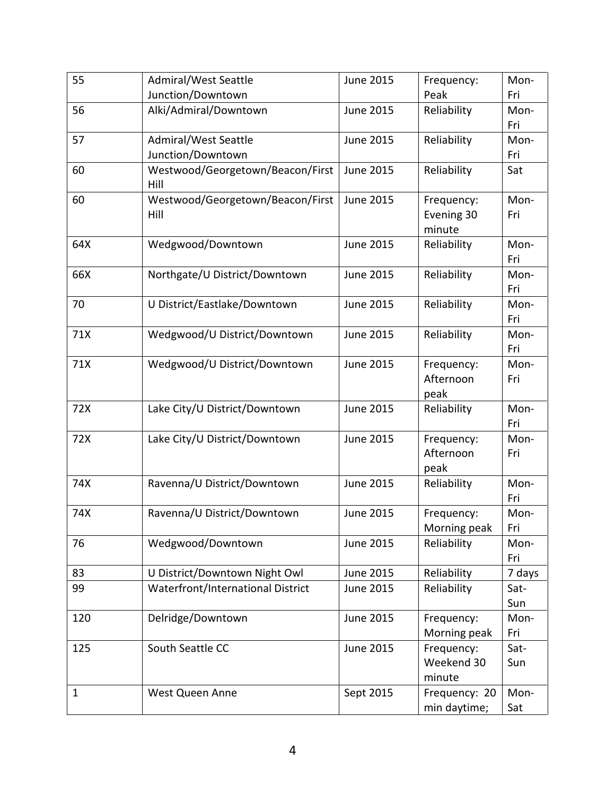| 55           | Admiral/West Seattle                     | <b>June 2015</b> | Frequency:                         | Mon-        |
|--------------|------------------------------------------|------------------|------------------------------------|-------------|
|              | Junction/Downtown                        |                  | Peak                               | Fri         |
| 56           | Alki/Admiral/Downtown                    | <b>June 2015</b> | Reliability                        | Mon-<br>Fri |
| 57           | Admiral/West Seattle                     | <b>June 2015</b> | Reliability                        | Mon-        |
|              | Junction/Downtown                        |                  |                                    | Fri         |
| 60           | Westwood/Georgetown/Beacon/First<br>Hill | <b>June 2015</b> | Reliability                        | Sat         |
| 60           | Westwood/Georgetown/Beacon/First<br>Hill | <b>June 2015</b> | Frequency:<br>Evening 30<br>minute | Mon-<br>Fri |
| 64X          | Wedgwood/Downtown                        | <b>June 2015</b> | Reliability                        | Mon-<br>Fri |
| 66X          | Northgate/U District/Downtown            | <b>June 2015</b> | Reliability                        | Mon-<br>Fri |
| 70           | U District/Eastlake/Downtown             | <b>June 2015</b> | Reliability                        | Mon-<br>Fri |
| 71X          | Wedgwood/U District/Downtown             | <b>June 2015</b> | Reliability                        | Mon-<br>Fri |
| 71X          | Wedgwood/U District/Downtown             | <b>June 2015</b> | Frequency:<br>Afternoon<br>peak    | Mon-<br>Fri |
| 72X          | Lake City/U District/Downtown            | <b>June 2015</b> | Reliability                        | Mon-<br>Fri |
| 72X          | Lake City/U District/Downtown            | <b>June 2015</b> | Frequency:<br>Afternoon<br>peak    | Mon-<br>Fri |
| 74X          | Ravenna/U District/Downtown              | <b>June 2015</b> | Reliability                        | Mon-<br>Fri |
| 74X          | Ravenna/U District/Downtown              | <b>June 2015</b> | Frequency:<br>Morning peak         | Mon-<br>Fri |
| 76           | Wedgwood/Downtown                        | June 2015        | Reliability                        | Mon-<br>Fri |
| 83           | U District/Downtown Night Owl            | June 2015        | Reliability                        | 7 days      |
| 99           | Waterfront/International District        | June 2015        | Reliability                        | Sat-<br>Sun |
| 120          | Delridge/Downtown                        | <b>June 2015</b> | Frequency:<br>Morning peak         | Mon-<br>Fri |
| 125          | South Seattle CC                         | June 2015        | Frequency:<br>Weekend 30<br>minute | Sat-<br>Sun |
| $\mathbf{1}$ | West Queen Anne                          | Sept 2015        | Frequency: 20<br>min daytime;      | Mon-<br>Sat |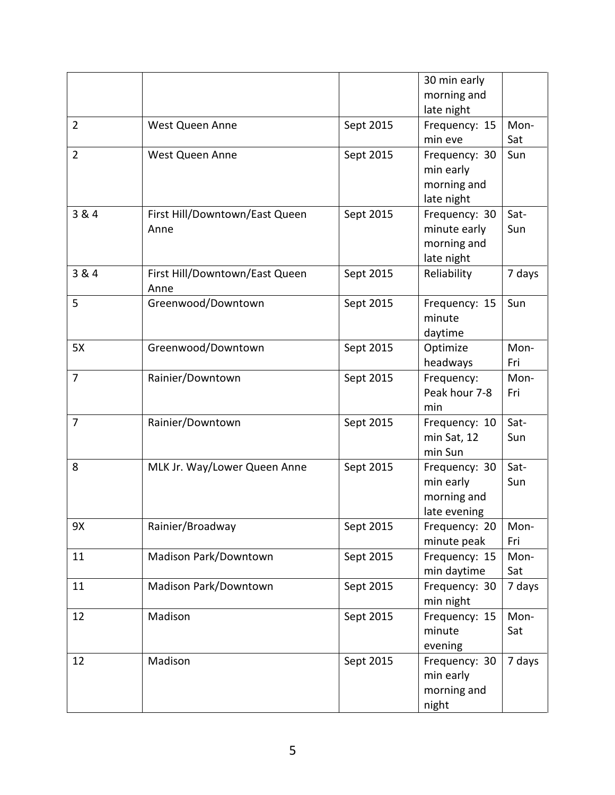|                |                                        |           | 30 min early<br>morning and                                |             |
|----------------|----------------------------------------|-----------|------------------------------------------------------------|-------------|
| $\overline{2}$ | West Queen Anne                        | Sept 2015 | late night<br>Frequency: 15<br>min eve                     | Mon-<br>Sat |
| $\overline{2}$ | West Queen Anne                        | Sept 2015 | Frequency: 30<br>min early<br>morning and<br>late night    | Sun         |
| 3 & 4          | First Hill/Downtown/East Queen<br>Anne | Sept 2015 | Frequency: 30<br>minute early<br>morning and<br>late night | Sat-<br>Sun |
| 3 & 4          | First Hill/Downtown/East Queen<br>Anne | Sept 2015 | Reliability                                                | 7 days      |
| 5              | Greenwood/Downtown                     | Sept 2015 | Frequency: 15<br>minute<br>daytime                         | Sun         |
| 5X             | Greenwood/Downtown                     | Sept 2015 | Optimize<br>headways                                       | Mon-<br>Fri |
| $\overline{7}$ | Rainier/Downtown                       | Sept 2015 | Frequency:<br>Peak hour 7-8<br>min                         | Mon-<br>Fri |
| $\overline{7}$ | Rainier/Downtown                       | Sept 2015 | Frequency: 10<br>min Sat, 12<br>min Sun                    | Sat-<br>Sun |
| 8              | MLK Jr. Way/Lower Queen Anne           | Sept 2015 | Frequency: 30<br>min early<br>morning and<br>late evening  | Sat-<br>Sun |
| 9X             | Rainier/Broadway                       | Sept 2015 | Frequency: 20<br>minute peak                               | Mon-<br>Fri |
| 11             | Madison Park/Downtown                  | Sept 2015 | Frequency: 15<br>min daytime                               | Mon-<br>Sat |
| 11             | Madison Park/Downtown                  | Sept 2015 | Frequency: 30<br>min night                                 | 7 days      |
| 12             | Madison                                | Sept 2015 | Frequency: 15<br>minute<br>evening                         | Mon-<br>Sat |
| 12             | Madison                                | Sept 2015 | Frequency: 30<br>min early<br>morning and<br>night         | 7 days      |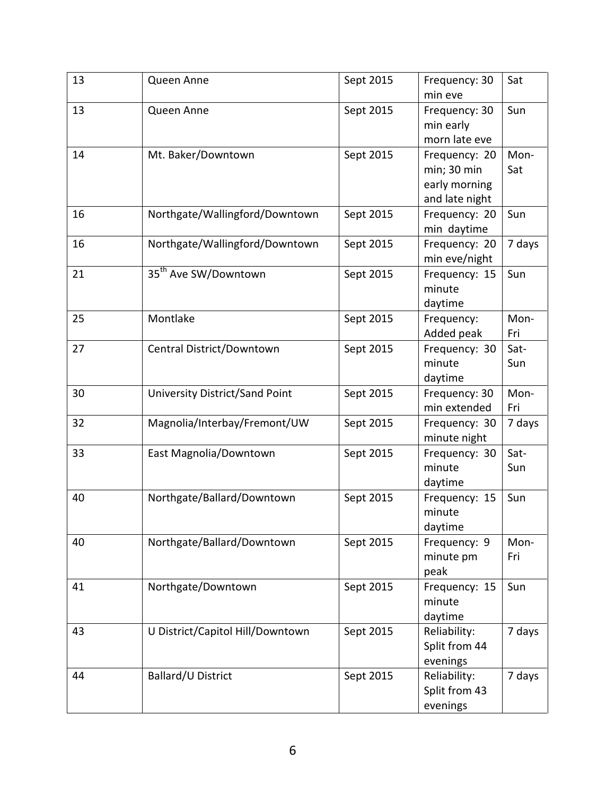| 13 | Queen Anne                       | Sept 2015 | Frequency: 30<br>min eve                                        | Sat         |
|----|----------------------------------|-----------|-----------------------------------------------------------------|-------------|
| 13 | Queen Anne                       | Sept 2015 | Frequency: 30<br>min early<br>morn late eve                     | Sun         |
| 14 | Mt. Baker/Downtown               | Sept 2015 | Frequency: 20<br>min; 30 min<br>early morning<br>and late night | Mon-<br>Sat |
| 16 | Northgate/Wallingford/Downtown   | Sept 2015 | Frequency: 20<br>min daytime                                    | Sun         |
| 16 | Northgate/Wallingford/Downtown   | Sept 2015 | Frequency: 20<br>min eve/night                                  | 7 days      |
| 21 | 35 <sup>th</sup> Ave SW/Downtown | Sept 2015 | Frequency: 15<br>minute<br>daytime                              | Sun         |
| 25 | Montlake                         | Sept 2015 | Frequency:<br>Added peak                                        | Mon-<br>Fri |
| 27 | Central District/Downtown        | Sept 2015 | Frequency: 30<br>minute<br>daytime                              | Sat-<br>Sun |
| 30 | University District/Sand Point   | Sept 2015 | Frequency: 30<br>min extended                                   | Mon-<br>Fri |
| 32 | Magnolia/Interbay/Fremont/UW     | Sept 2015 | Frequency: 30<br>minute night                                   | 7 days      |
| 33 | East Magnolia/Downtown           | Sept 2015 | Frequency: 30<br>minute<br>daytime                              | Sat-<br>Sun |
| 40 | Northgate/Ballard/Downtown       | Sept 2015 | Frequency: 15<br>minute<br>daytime                              | Sun         |
| 40 | Northgate/Ballard/Downtown       | Sept 2015 | Frequency: 9<br>minute pm<br>peak                               | Mon-<br>Fri |
| 41 | Northgate/Downtown               | Sept 2015 | Frequency: 15<br>minute<br>daytime                              | Sun         |
| 43 | U District/Capitol Hill/Downtown | Sept 2015 | Reliability:<br>Split from 44<br>evenings                       | 7 days      |
| 44 | Ballard/U District               | Sept 2015 | Reliability:<br>Split from 43<br>evenings                       | 7 days      |